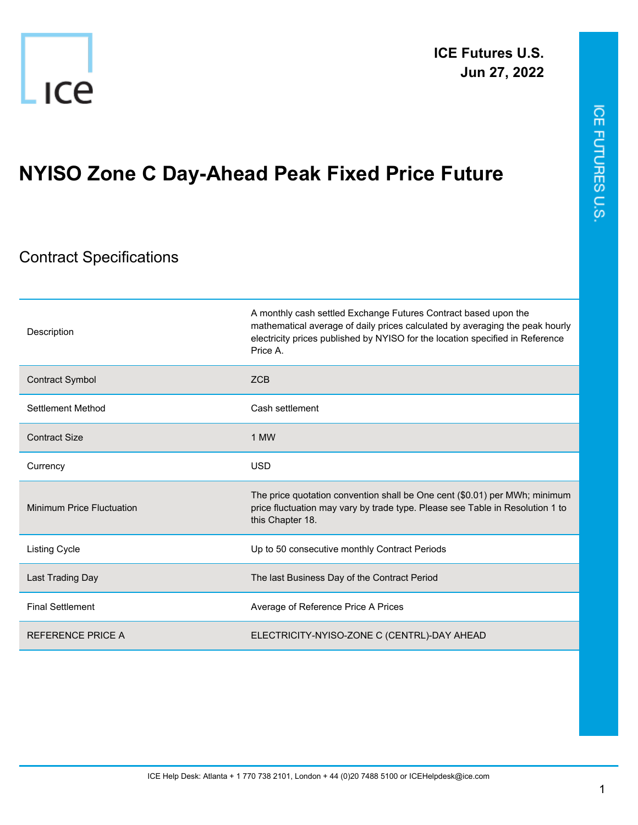

## **NYISO Zone C Day-Ahead Peak Fixed Price Future**

## Contract Specifications

| Description               | A monthly cash settled Exchange Futures Contract based upon the<br>mathematical average of daily prices calculated by averaging the peak hourly<br>electricity prices published by NYISO for the location specified in Reference<br>Price A. |
|---------------------------|----------------------------------------------------------------------------------------------------------------------------------------------------------------------------------------------------------------------------------------------|
| Contract Symbol           | <b>ZCB</b>                                                                                                                                                                                                                                   |
| Settlement Method         | Cash settlement                                                                                                                                                                                                                              |
| <b>Contract Size</b>      | 1 MW                                                                                                                                                                                                                                         |
| Currency                  | <b>USD</b>                                                                                                                                                                                                                                   |
| Minimum Price Fluctuation | The price quotation convention shall be One cent (\$0.01) per MWh; minimum<br>price fluctuation may vary by trade type. Please see Table in Resolution 1 to<br>this Chapter 18.                                                              |
| <b>Listing Cycle</b>      | Up to 50 consecutive monthly Contract Periods                                                                                                                                                                                                |
| Last Trading Day          | The last Business Day of the Contract Period                                                                                                                                                                                                 |
| <b>Final Settlement</b>   | Average of Reference Price A Prices                                                                                                                                                                                                          |
| <b>REFERENCE PRICE A</b>  | ELECTRICITY-NYISO-ZONE C (CENTRL)-DAY AHEAD                                                                                                                                                                                                  |

ICE FUTURES U.S.